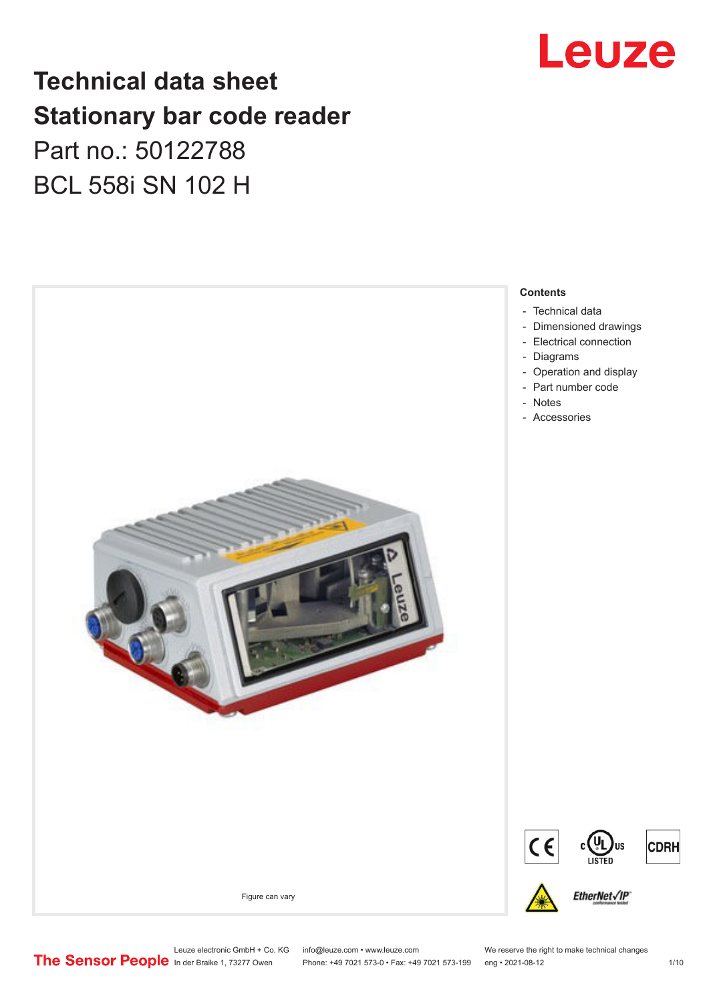

# **Technical data sheet Stationary bar code reader** Part no.: 50122788 BCL 558i SN 102 H



Leuze electronic GmbH + Co. KG info@leuze.com • www.leuze.com We reserve the right to make technical changes<br>
The Sensor People in der Braike 1, 73277 Owen Phone: +49 7021 573-0 • Fax: +49 7021 573-199 eng • 2021-08-12

Phone: +49 7021 573-0 • Fax: +49 7021 573-199 eng • 2021-08-12 1 /10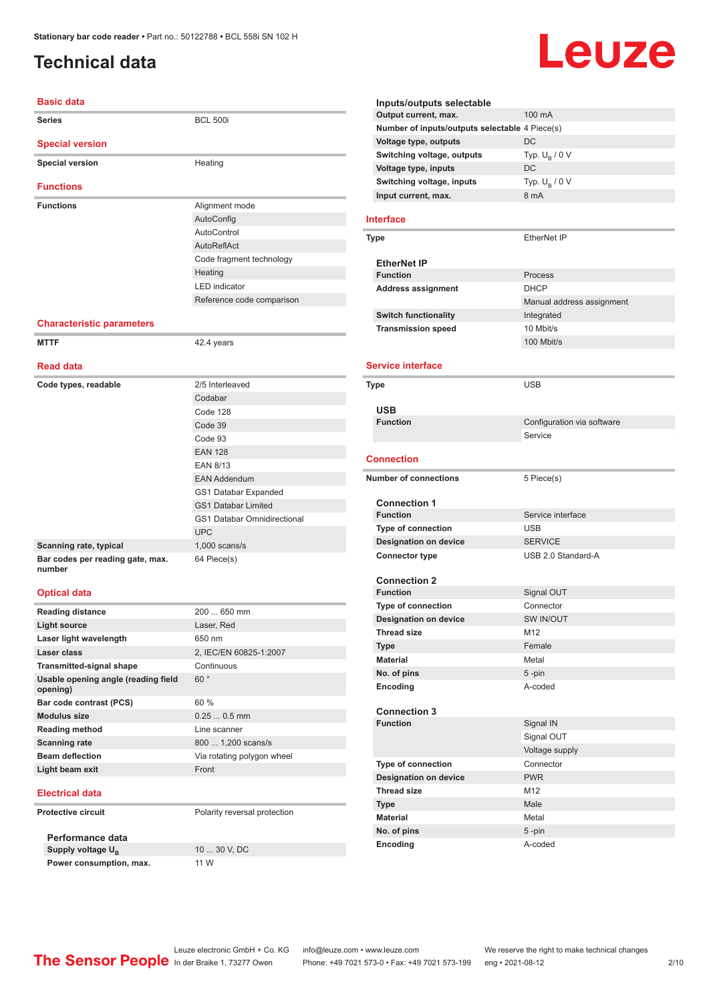# <span id="page-1-0"></span>**Technical data**

# Leuze

| <b>Basic data</b>                                                 |                              |  |
|-------------------------------------------------------------------|------------------------------|--|
| <b>Series</b>                                                     | <b>BCL 500i</b>              |  |
| <b>Special version</b>                                            |                              |  |
| <b>Special version</b>                                            | Heating                      |  |
| <b>Functions</b>                                                  |                              |  |
| <b>Functions</b>                                                  | Alignment mode               |  |
|                                                                   | AutoConfig                   |  |
|                                                                   | AutoControl                  |  |
|                                                                   | AutoReflAct                  |  |
|                                                                   | Code fragment technology     |  |
|                                                                   | Heating                      |  |
|                                                                   | <b>LED</b> indicator         |  |
|                                                                   | Reference code comparison    |  |
| <b>Characteristic parameters</b>                                  |                              |  |
| <b>MTTF</b>                                                       | 42.4 years                   |  |
| <b>Read data</b>                                                  |                              |  |
| Code types, readable                                              | 2/5 Interleaved              |  |
|                                                                   | Codabar                      |  |
|                                                                   | Code 128                     |  |
|                                                                   | Code 39                      |  |
|                                                                   | Code 93                      |  |
|                                                                   | <b>EAN 128</b>               |  |
|                                                                   | <b>EAN 8/13</b>              |  |
|                                                                   | <b>EAN Addendum</b>          |  |
|                                                                   | GS1 Databar Expanded         |  |
|                                                                   | <b>GS1 Databar Limited</b>   |  |
|                                                                   | GS1 Databar Omnidirectional  |  |
|                                                                   | <b>UPC</b>                   |  |
| Scanning rate, typical                                            | $1,000$ scans/s              |  |
| Bar codes per reading gate, max.<br>number<br><b>Optical data</b> | 64 Piece(s)                  |  |
| <b>Reading distance</b>                                           | 200  650 mm                  |  |
| Light source                                                      | Laser, Red                   |  |
| Laser light wavelength                                            | 650 nm                       |  |
| Laser class                                                       | 2, IEC/EN 60825-1:2007       |  |
| <b>Transmitted-signal shape</b>                                   | Continuous                   |  |
| Usable opening angle (reading field<br>opening)                   | 60°                          |  |
| Bar code contrast (PCS)                                           | 60 %                         |  |
| <b>Modulus size</b>                                               | $0.250.5$ mm                 |  |
| <b>Reading method</b>                                             | Line scanner                 |  |
| <b>Scanning rate</b>                                              | 800  1,200 scans/s           |  |
| <b>Beam deflection</b>                                            | Via rotating polygon wheel   |  |
| Light beam exit                                                   | Front                        |  |
| <b>Electrical data</b>                                            |                              |  |
| <b>Protective circuit</b>                                         | Polarity reversal protection |  |
| Performance data                                                  |                              |  |

**Performance data** Supply voltage  $U_B$ **Power consumption, max.** 11 W

10 ... 30 V, DC

| Inputs/outputs selectable                                 |                            |
|-----------------------------------------------------------|----------------------------|
| Output current, max.                                      | 100 mA                     |
| Number of inputs/outputs selectable 4 Piece(s)            |                            |
| <b>Voltage type, outputs</b>                              | DC                         |
| Switching voltage, outputs                                | Typ. $U_{\rm B}$ / 0 V     |
| Voltage type, inputs                                      | <b>DC</b>                  |
| Switching voltage, inputs                                 | Typ. $U_R / 0 V$           |
| Input current, max.                                       | 8 mA                       |
| Interface                                                 |                            |
| <b>Type</b>                                               | EtherNet IP                |
| <b>EtherNet IP</b>                                        |                            |
| <b>Function</b>                                           | Process                    |
| Address assignment                                        | <b>DHCP</b>                |
|                                                           | Manual address assignment  |
| <b>Switch functionality</b>                               | Integrated                 |
| <b>Transmission speed</b>                                 | 10 Mbit/s                  |
|                                                           | 100 Mbit/s                 |
|                                                           |                            |
| <b>Service interface</b>                                  |                            |
| Type                                                      | USB                        |
|                                                           |                            |
| <b>USB</b>                                                |                            |
| <b>Function</b>                                           | Configuration via software |
|                                                           | Service                    |
| <b>Connection</b>                                         |                            |
|                                                           |                            |
| <b>Number of connections</b>                              | 5 Piece(s)                 |
|                                                           |                            |
| <b>Connection 1</b>                                       |                            |
| <b>Function</b>                                           | Service interface          |
| Type of connection                                        | <b>USB</b>                 |
| <b>Designation on device</b>                              | <b>SERVICE</b>             |
| <b>Connector type</b>                                     | USB 2.0 Standard-A         |
|                                                           |                            |
| <b>Connection 2</b><br><b>Function</b>                    |                            |
|                                                           | Signal OUT<br>Connector    |
| <b>Type of connection</b><br><b>Designation on device</b> | <b>SW IN/OUT</b>           |
| <b>Thread size</b>                                        | M <sub>12</sub>            |
| <b>Type</b>                                               | Female                     |
| <b>Material</b>                                           | Metal                      |
| No. of pins                                               | $5 - pin$                  |
| Encoding                                                  | A-coded                    |
| <b>Connection 3</b>                                       |                            |
| <b>Function</b>                                           | Signal IN                  |
|                                                           | Signal OUT                 |
|                                                           | Voltage supply             |
| <b>Type of connection</b>                                 | Connector                  |
| <b>Designation on device</b>                              | <b>PWR</b>                 |
| <b>Thread size</b>                                        | M12                        |
| <b>Type</b>                                               | Male                       |
| <b>Material</b>                                           | Metal                      |
| No. of pins                                               | 5-pin                      |

Leuze electronic GmbH + Co. KG info@leuze.com • www.leuze.com We reserve the right to make technical changes<br>
The Sensor People in der Braike 1, 73277 Owen Phone: +49 7021 573-0 • Fax: +49 7021 573-199 eng • 2021-08-12

In der Braike 1, 73277 Owen Phone: +49 7021 573-0 • Fax: +49 7021 573-199 eng • 2021-08-12 2 /10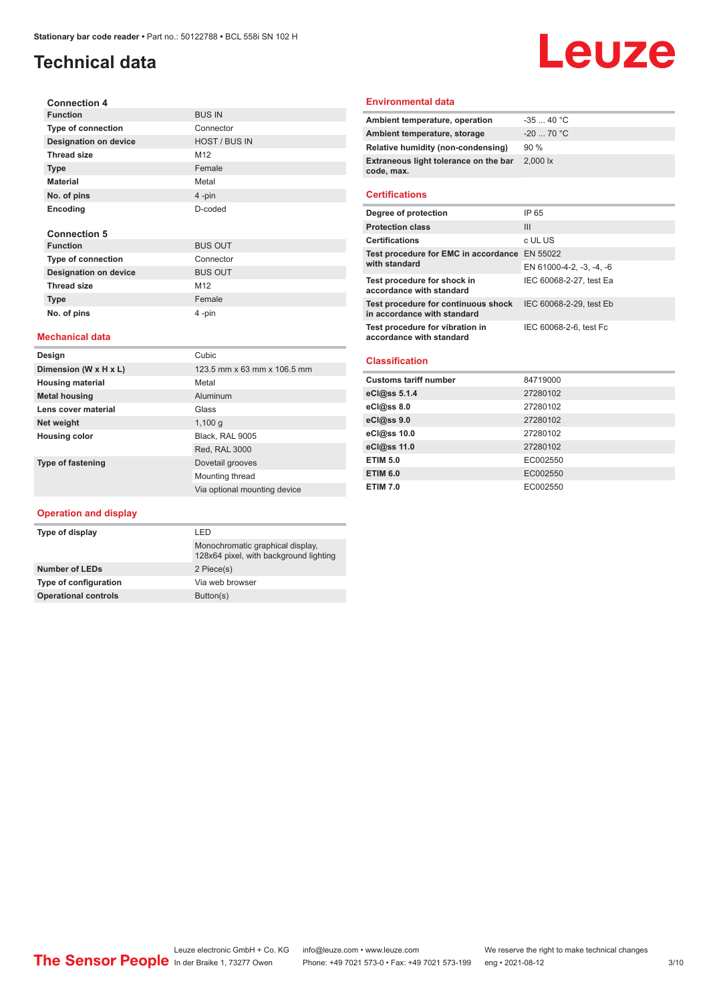# **Technical data**

#### **Connection 4 Function** BUS IN **Type of connection** Connector **Designation on device** HOST / BUS IN **Thread size** M12 **Type** Female **Material** Metal **No. of pins** 4 -pin **Encoding** D-coded **Connection 5 Function** BUS OUT **Type of connection**<br> **Designation on device**<br>
BUS OUT **Designation on device** Thread size M12

#### **Mechanical data**

**Type Female No. of pins** 4 -pin

| Design                   | Cubic                        |
|--------------------------|------------------------------|
| Dimension (W x H x L)    | 123.5 mm x 63 mm x 106.5 mm  |
| <b>Housing material</b>  | Metal                        |
| <b>Metal housing</b>     | Aluminum                     |
| Lens cover material      | Glass                        |
| Net weight               | 1,100q                       |
| <b>Housing color</b>     | Black, RAL 9005              |
|                          | Red, RAL 3000                |
| <b>Type of fastening</b> | Dovetail grooves             |
|                          | Mounting thread              |
|                          | Via optional mounting device |

#### **Operation and display**

| I FD                                                                       |  |
|----------------------------------------------------------------------------|--|
| Monochromatic graphical display.<br>128x64 pixel, with background lighting |  |
| 2 Piece(s)                                                                 |  |
| Via web browser                                                            |  |
| Button(s)                                                                  |  |
|                                                                            |  |

#### **Environmental data**

| Ambient temperature, operation                      | $-3540 °C$                     |
|-----------------------------------------------------|--------------------------------|
| Ambient temperature, storage                        | $-20$ 70 °C                    |
| Relative humidity (non-condensing)                  | 90%                            |
| Extraneous light tolerance on the bar<br>code, max. | $2,000$ $\overline{\text{lx}}$ |
|                                                     |                                |

Leuze

#### **Certifications**

| Degree of protection                                               | IP 65                    |
|--------------------------------------------------------------------|--------------------------|
| <b>Protection class</b>                                            | Ш                        |
| <b>Certifications</b>                                              | c UL US                  |
| Test procedure for EMC in accordance EN 55022                      |                          |
| with standard                                                      | EN 61000-4-2, -3, -4, -6 |
| Test procedure for shock in<br>accordance with standard            | IEC 60068-2-27, test Ea  |
| Test procedure for continuous shock<br>in accordance with standard | IEC 60068-2-29, test Eb  |
| Test procedure for vibration in<br>accordance with standard        | IEC 60068-2-6, test Fc   |

#### **Classification**

| <b>Customs tariff number</b> | 84719000 |
|------------------------------|----------|
| eCl@ss 5.1.4                 | 27280102 |
| eCl@ss 8.0                   | 27280102 |
| eCl@ss 9.0                   | 27280102 |
| eCl@ss 10.0                  | 27280102 |
| eCl@ss 11.0                  | 27280102 |
| <b>ETIM 5.0</b>              | EC002550 |
| <b>ETIM 6.0</b>              | EC002550 |
| <b>ETIM 7.0</b>              | EC002550 |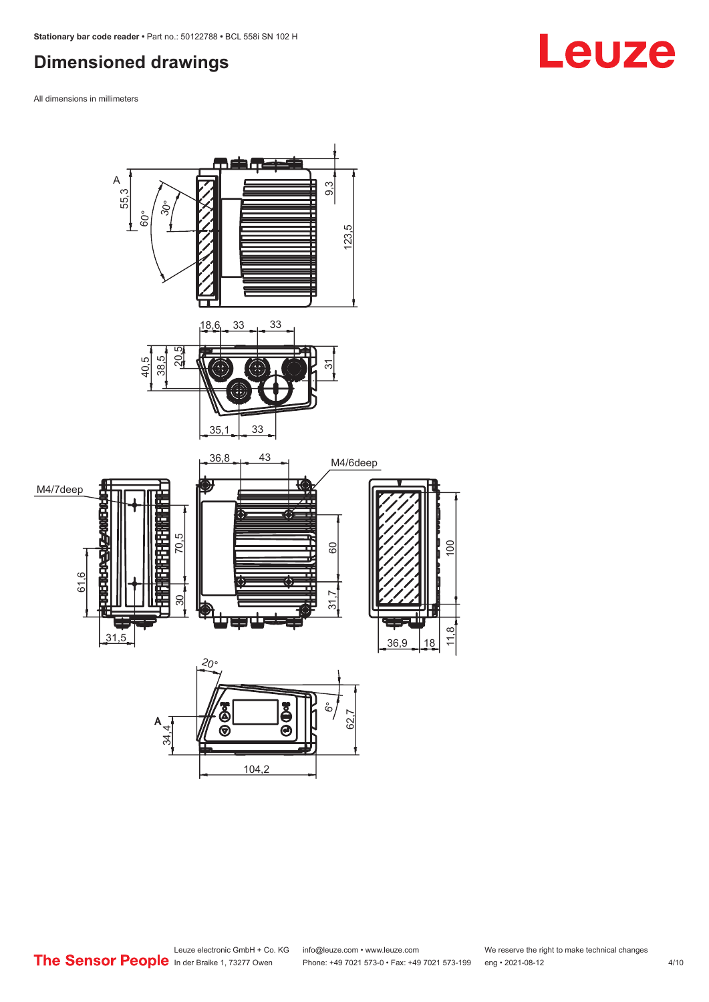# <span id="page-3-0"></span>**Dimensioned drawings**

All dimensions in millimeters

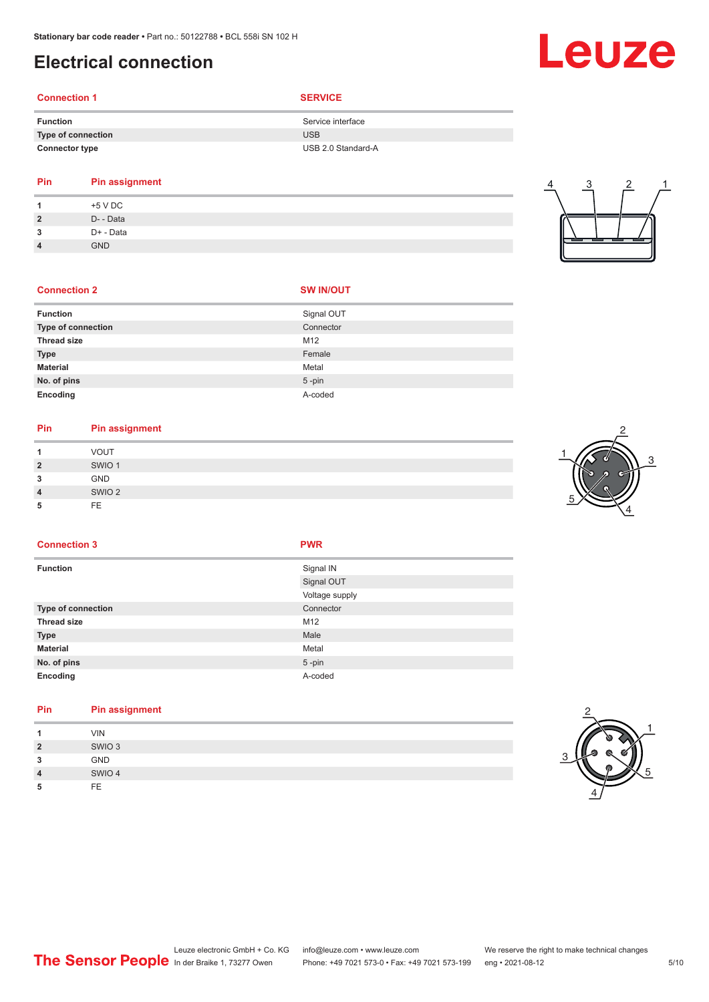# <span id="page-4-0"></span>**Electrical connection**

# **Connection 1 SERVICE**

| <b>Function</b>       | Service interface  |
|-----------------------|--------------------|
| Type of connection    | USB                |
| <b>Connector type</b> | USB 2.0 Standard-A |

**No. of pins** 5 -pin **Encoding** A-coded

#### **Pin Pin assignment 1** +5 V DC

| $\overline{2}$ | D- - Data  |
|----------------|------------|
| 3              | D+ - Data  |
| $\overline{a}$ | <b>GND</b> |

# 4 3 2 1

| <b>Connection 2</b>       | <b>SW IN/OUT</b> |
|---------------------------|------------------|
| <b>Function</b>           | Signal OUT       |
| <b>Type of connection</b> | Connector        |
| <b>Thread size</b>        | M <sub>12</sub>  |
| <b>Type</b>               | Female           |
| <b>Material</b>           | Metal            |

# **Pin Pin assignment**

|                | <b>VOUT</b>       |
|----------------|-------------------|
| $\overline{2}$ | SWIO <sub>1</sub> |
| 3              | GND               |
| $\overline{4}$ | SWIO <sub>2</sub> |
| Ð              | FE.               |



#### **Connection 3 PWR**

| <b>Function</b>    | Signal IN      |
|--------------------|----------------|
|                    | Signal OUT     |
|                    | Voltage supply |
| Type of connection | Connector      |
| Thread size        | M12            |
| Type               | Male           |
| <b>Material</b>    | Metal          |
| No. of pins        | $5$ -pin       |
| Encoding           | A-coded        |
|                    |                |

#### **Pin Pin assignment 1** VIN **2** SWIO 3 **3** GND **4** SWIO 4 **5** FE





# Leuze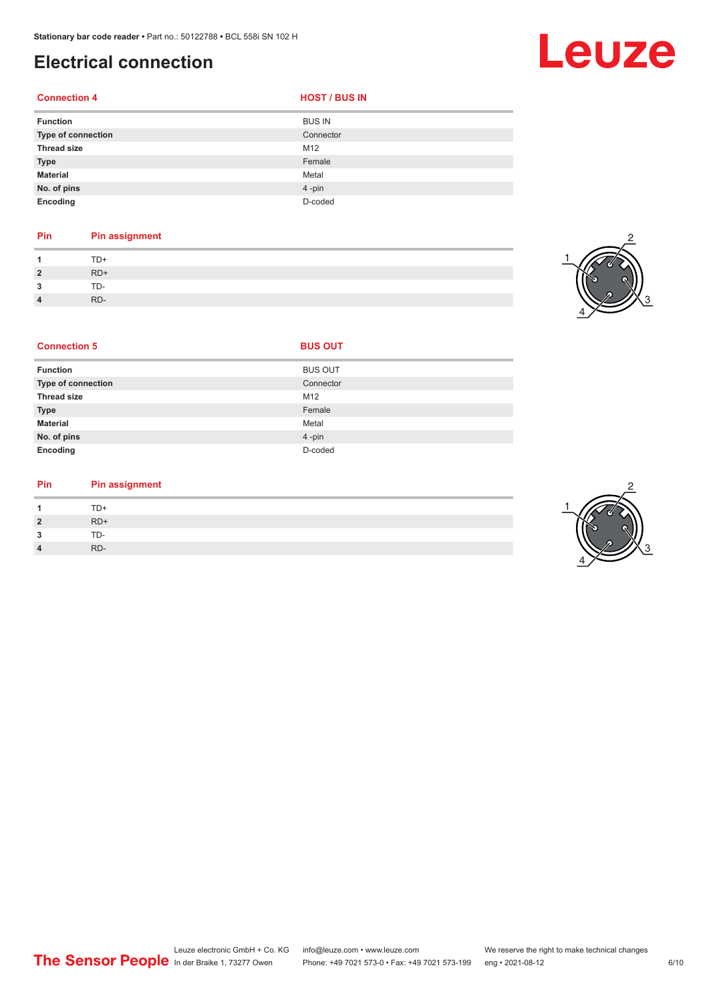# **Electrical connection**

#### **Connection 4**

| <b>HOST / BUS IN</b> |
|----------------------|
|----------------------|

| <b>Function</b>    | <b>BUS IN</b> |
|--------------------|---------------|
| Type of connection | Connector     |
| <b>Thread size</b> | M12           |
| Type               | Female        |
| <b>Material</b>    | Metal         |
| No. of pins        | 4-pin         |
| Encoding           | D-coded       |

## **Pin Pin assignment**

|                | $T\Box$ |
|----------------|---------|
| $\overline{2}$ | $RD+$   |
| ◠              | ⊤∩-     |
| 4              | RD-     |



| <b>Connection 5</b>       | <b>BUS OUT</b> |  |
|---------------------------|----------------|--|
| <b>Function</b>           | <b>BUS OUT</b> |  |
| <b>Type of connection</b> | Connector      |  |
| <b>Thread size</b>        | M12            |  |
| <b>Type</b>               | Female         |  |
| <b>Material</b>           | Metal          |  |
| No. of pins               | 4-pin          |  |
| Encoding                  | D-coded        |  |

#### **Pin Pin assignment**

|                | TD+   |
|----------------|-------|
| $\overline{2}$ | $RD+$ |
| ຳ<br>- 3       | TD-   |
| 4              | RD-   |

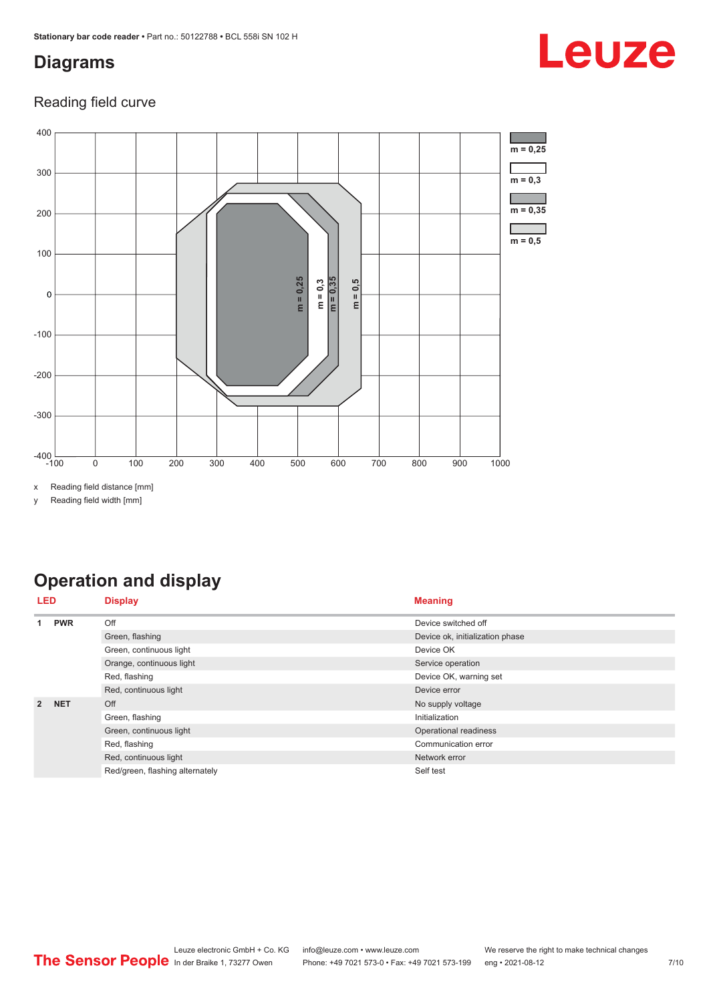# <span id="page-6-0"></span>**Diagrams**

#### Reading field curve



x Reading field distance [mm]

y Reading field width [mm]

# **Operation and display**

| LED            |            | <b>Display</b>                  | <b>Meaning</b>                  |  |
|----------------|------------|---------------------------------|---------------------------------|--|
| <b>PWR</b>     | Off        | Device switched off             |                                 |  |
|                |            | Green, flashing                 | Device ok, initialization phase |  |
|                |            | Green, continuous light         | Device OK                       |  |
|                |            | Orange, continuous light        | Service operation               |  |
|                |            | Red, flashing                   | Device OK, warning set          |  |
|                |            | Red, continuous light           | Device error                    |  |
| $\overline{2}$ | <b>NET</b> | Off                             | No supply voltage               |  |
|                |            | Green, flashing                 | Initialization                  |  |
|                |            | Green, continuous light         | Operational readiness           |  |
|                |            | Red, flashing                   | Communication error             |  |
|                |            | Red, continuous light           | Network error                   |  |
|                |            | Red/green, flashing alternately | Self test                       |  |

# Leuze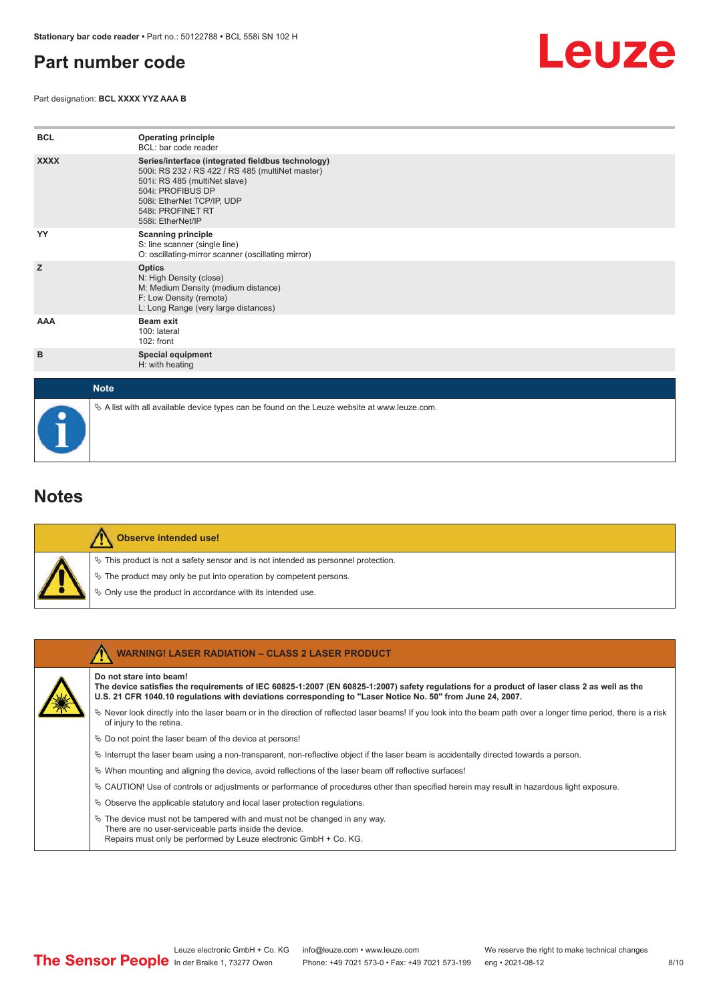# <span id="page-7-0"></span>**Part number code**

Part designation: **BCL XXXX YYZ AAA B**



| <b>BCL</b>  | <b>Operating principle</b><br>BCL: bar code reader                                                                                                                                                                                  |
|-------------|-------------------------------------------------------------------------------------------------------------------------------------------------------------------------------------------------------------------------------------|
| <b>XXXX</b> | Series/interface (integrated fieldbus technology)<br>500i: RS 232 / RS 422 / RS 485 (multiNet master)<br>501i: RS 485 (multiNet slave)<br>504i: PROFIBUS DP<br>508i: EtherNet TCP/IP, UDP<br>548i: PROFINET RT<br>558i: EtherNet/IP |
| YY          | <b>Scanning principle</b><br>S: line scanner (single line)<br>O: oscillating-mirror scanner (oscillating mirror)                                                                                                                    |
| z           | <b>Optics</b><br>N: High Density (close)<br>M: Medium Density (medium distance)<br>F: Low Density (remote)<br>L: Long Range (very large distances)                                                                                  |
| AAA         | <b>Beam exit</b><br>100: lateral<br>$102:$ front                                                                                                                                                                                    |
| в           | Special equipment<br>H: with heating                                                                                                                                                                                                |
| <b>Note</b> |                                                                                                                                                                                                                                     |

### **Notes**

|  | Observe intended use!                                                                 |
|--|---------------------------------------------------------------------------------------|
|  | $\%$ This product is not a safety sensor and is not intended as personnel protection. |
|  | § The product may only be put into operation by competent persons.                    |
|  | $\phi$ Only use the product in accordance with its intended use.                      |

 $\%$  A list with all available device types can be found on the Leuze website at www.leuze.com.

| <b>WARNING! LASER RADIATION - CLASS 2 LASER PRODUCT</b>                                                                                                                                                                                                                               |
|---------------------------------------------------------------------------------------------------------------------------------------------------------------------------------------------------------------------------------------------------------------------------------------|
| Do not stare into beam!<br>The device satisfies the requirements of IEC 60825-1:2007 (EN 60825-1:2007) safety requlations for a product of laser class 2 as well as the<br>U.S. 21 CFR 1040.10 regulations with deviations corresponding to "Laser Notice No. 50" from June 24, 2007. |
| Never look directly into the laser beam or in the direction of reflected laser beams! If you look into the beam path over a longer time period, there is a risk<br>of injury to the retina.                                                                                           |
| $\%$ Do not point the laser beam of the device at persons!                                                                                                                                                                                                                            |
| Interrupt the laser beam using a non-transparent, non-reflective object if the laser beam is accidentally directed towards a person.                                                                                                                                                  |
| $\%$ When mounting and aligning the device, avoid reflections of the laser beam off reflective surfaces!                                                                                                                                                                              |
| $\&$ CAUTION! Use of controls or adjustments or performance of procedures other than specified herein may result in hazardous light exposure.                                                                                                                                         |
| $\&$ Observe the applicable statutory and local laser protection requisitions.                                                                                                                                                                                                        |
| $\ddot{\varphi}$ The device must not be tampered with and must not be changed in any way.<br>There are no user-serviceable parts inside the device.<br>Repairs must only be performed by Leuze electronic GmbH + Co. KG.                                                              |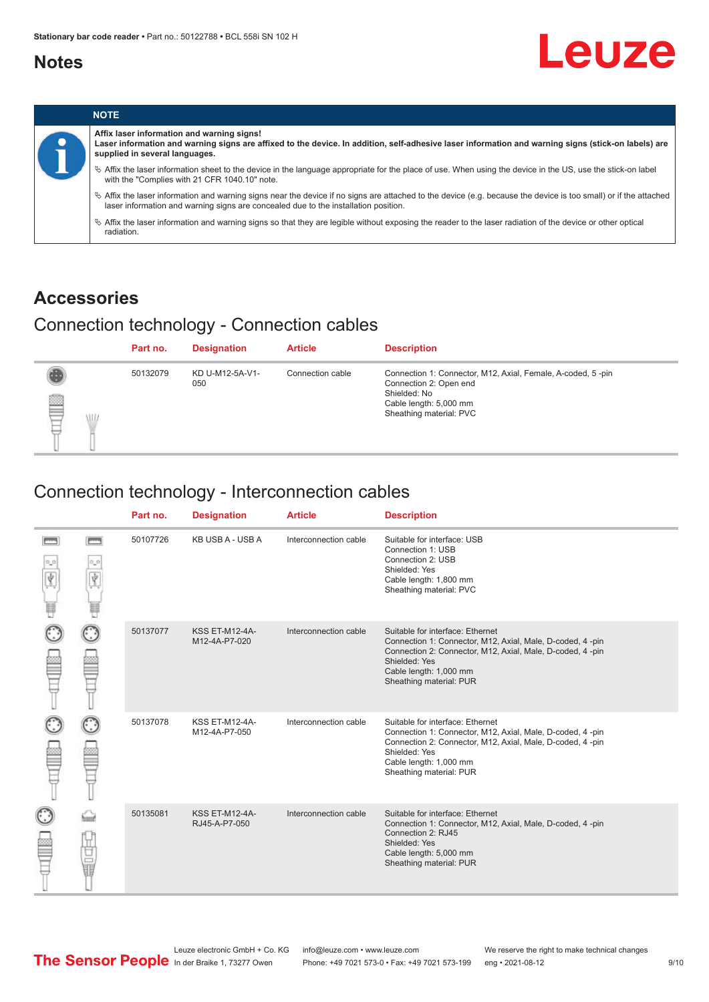### <span id="page-8-0"></span>**Notes**



|           |                                                                                                                                                                                                                                                            | <b>NOTE</b>                                                                                                                                                                 |
|-----------|------------------------------------------------------------------------------------------------------------------------------------------------------------------------------------------------------------------------------------------------------------|-----------------------------------------------------------------------------------------------------------------------------------------------------------------------------|
| $\bullet$ | Affix laser information and warning signs!<br>Laser information and warning signs are affixed to the device. In addition, self-adhesive laser information and warning signs (stick-on labels) are<br>supplied in several languages.                        |                                                                                                                                                                             |
|           | Affix the laser information sheet to the device in the language appropriate for the place of use. When using the device in the US, use the stick-on label<br>with the "Complies with 21 CFR 1040.10" note.                                                 |                                                                                                                                                                             |
|           | $\%$ Affix the laser information and warning signs near the device if no signs are attached to the device (e.g. because the device is too small) or if the attached<br>laser information and warning signs are concealed due to the installation position. |                                                                                                                                                                             |
|           |                                                                                                                                                                                                                                                            | $\%$ Affix the laser information and warning signs so that they are legible without exposing the reader to the laser radiation of the device or other optical<br>radiation. |

# **Accessories**

# Connection technology - Connection cables

|        | Part no. | <b>Designation</b>     | <b>Article</b>   | <b>Description</b>                                                                                                                                         |
|--------|----------|------------------------|------------------|------------------------------------------------------------------------------------------------------------------------------------------------------------|
| ₿<br>W | 50132079 | KD U-M12-5A-V1-<br>050 | Connection cable | Connection 1: Connector, M12, Axial, Female, A-coded, 5-pin<br>Connection 2: Open end<br>Shielded: No<br>Cable length: 5,000 mm<br>Sheathing material: PVC |

# Connection technology - Interconnection cables

|   |              | Part no. | <b>Designation</b>                     | <b>Article</b>        | <b>Description</b>                                                                                                                                                                                                               |
|---|--------------|----------|----------------------------------------|-----------------------|----------------------------------------------------------------------------------------------------------------------------------------------------------------------------------------------------------------------------------|
| Ý | <b>books</b> | 50107726 | KB USB A - USB A                       | Interconnection cable | Suitable for interface: USB<br>Connection 1: USB<br>Connection 2: USB<br>Shielded: Yes<br>Cable length: 1,800 mm<br>Sheathing material: PVC                                                                                      |
|   |              | 50137077 | <b>KSS ET-M12-4A-</b><br>M12-4A-P7-020 | Interconnection cable | Suitable for interface: Ethernet<br>Connection 1: Connector, M12, Axial, Male, D-coded, 4-pin<br>Connection 2: Connector, M12, Axial, Male, D-coded, 4-pin<br>Shielded: Yes<br>Cable length: 1,000 mm<br>Sheathing material: PUR |
|   |              | 50137078 | KSS ET-M12-4A-<br>M12-4A-P7-050        | Interconnection cable | Suitable for interface: Ethernet<br>Connection 1: Connector, M12, Axial, Male, D-coded, 4-pin<br>Connection 2: Connector, M12, Axial, Male, D-coded, 4-pin<br>Shielded: Yes<br>Cable length: 1,000 mm<br>Sheathing material: PUR |
|   | 甘量           | 50135081 | <b>KSS ET-M12-4A-</b><br>RJ45-A-P7-050 | Interconnection cable | Suitable for interface: Ethernet<br>Connection 1: Connector, M12, Axial, Male, D-coded, 4-pin<br>Connection 2: RJ45<br>Shielded: Yes<br>Cable length: 5,000 mm<br>Sheathing material: PUR                                        |